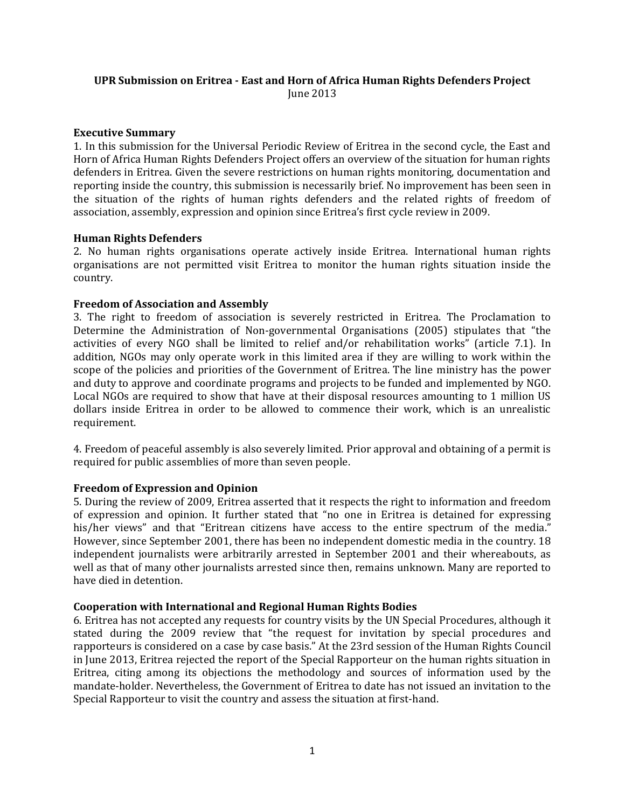# **UPR Submission on Eritrea - East and Horn of Africa Human Rights Defenders Project** June 2013

### **Executive Summary**

1. In this submission for the Universal Periodic Review of Eritrea in the second cycle, the East and Horn of Africa Human Rights Defenders Project offers an overview of the situation for human rights defenders in Eritrea. Given the severe restrictions on human rights monitoring, documentation and reporting inside the country, this submission is necessarily brief. No improvement has been seen in the situation of the rights of human rights defenders and the related rights of freedom of association, assembly, expression and opinion since Eritrea's first cycle review in 2009.

### **Human Rights Defenders**

2. No human rights organisations operate actively inside Eritrea. International human rights organisations are not permitted visit Eritrea to monitor the human rights situation inside the country.

### **Freedom of Association and Assembly**

3. The right to freedom of association is severely restricted in Eritrea. The Proclamation to Determine the Administration of Non-governmental Organisations (2005) stipulates that "the activities of every NGO shall be limited to relief and/or rehabilitation works" (article 7.1). In addition, NGOs may only operate work in this limited area if they are willing to work within the scope of the policies and priorities of the Government of Eritrea. The line ministry has the power and duty to approve and coordinate programs and projects to be funded and implemented by NGO. Local NGOs are required to show that have at their disposal resources amounting to 1 million US dollars inside Eritrea in order to be allowed to commence their work, which is an unrealistic requirement.

4. Freedom of peaceful assembly is also severely limited. Prior approval and obtaining of a permit is required for public assemblies of more than seven people.

# **Freedom of Expression and Opinion**

5. During the review of 2009, Eritrea asserted that it respects the right to information and freedom of expression and opinion. It further stated that "no one in Eritrea is detained for expressing his/her views" and that "Eritrean citizens have access to the entire spectrum of the media." However, since September 2001, there has been no independent domestic media in the country. 18 independent journalists were arbitrarily arrested in September 2001 and their whereabouts, as well as that of many other journalists arrested since then, remains unknown. Many are reported to have died in detention.

# **Cooperation with International and Regional Human Rights Bodies**

6. Eritrea has not accepted any requests for country visits by the UN Special Procedures, although it stated during the 2009 review that "the request for invitation by special procedures and rapporteurs is considered on a case by case basis." At the 23rd session of the Human Rights Council in June 2013, Eritrea rejected the report of the Special Rapporteur on the human rights situation in Eritrea, citing among its objections the methodology and sources of information used by the mandate-holder. Nevertheless, the Government of Eritrea to date has not issued an invitation to the Special Rapporteur to visit the country and assess the situation at first-hand.